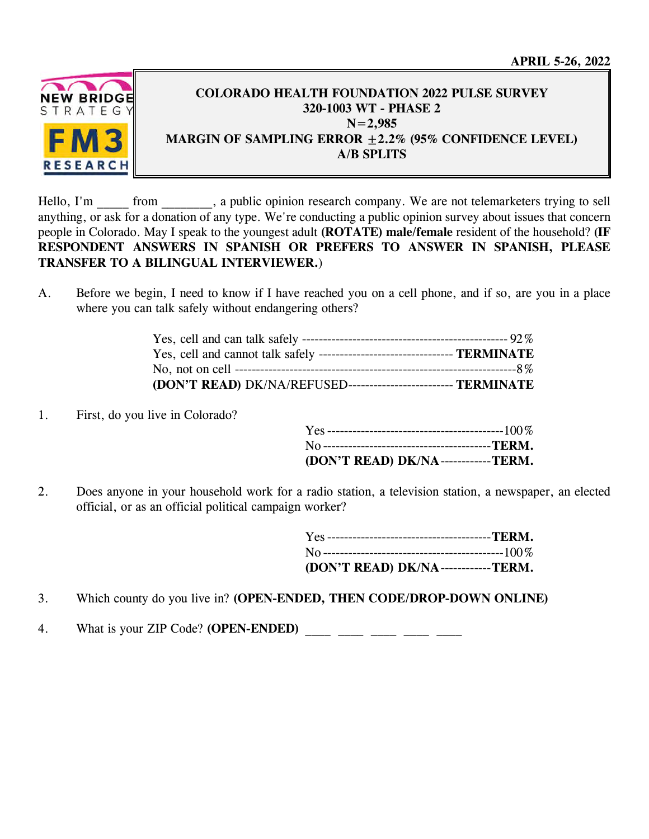**APRIL 5-26, 2022** 



## **COLORADO HEALTH FOUNDATION 2022 PULSE SURVEY 320-1003 WT - PHASE 2 N=2,985 MARGIN OF SAMPLING ERROR ±2.2% (95% CONFIDENCE LEVEL) A/B SPLITS**

Hello, I'm from , a public opinion research company. We are not telemarketers trying to sell anything, or ask for a donation of any type. We're conducting a public opinion survey about issues that concern people in Colorado. May I speak to the youngest adult **(ROTATE) male/female** resident of the household? **(IF RESPONDENT ANSWERS IN SPANISH OR PREFERS TO ANSWER IN SPANISH, PLEASE TRANSFER TO A BILINGUAL INTERVIEWER.**)

A. Before we begin, I need to know if I have reached you on a cell phone, and if so, are you in a place where you can talk safely without endangering others?

| Yes, cell and cannot talk safely ---------------------------------- TERMINATE |  |
|-------------------------------------------------------------------------------|--|
|                                                                               |  |
| (DON'T READ) DK/NA/REFUSED-------------------------- TERMINATE                |  |

1. First, do you live in Colorado?

| (DON'T READ) DK/NA------------TERM. |  |
|-------------------------------------|--|

2. Does anyone in your household work for a radio station, a television station, a newspaper, an elected official, or as an official political campaign worker?

| (DON'T READ) DK/NA------------TERM. |  |
|-------------------------------------|--|

- 3. Which county do you live in? **(OPEN-ENDED, THEN CODE/DROP-DOWN ONLINE)**
- 4. What is your ZIP Code? **(OPEN-ENDED)** \_\_\_\_ \_\_\_\_ \_\_\_\_ \_\_\_\_ \_\_\_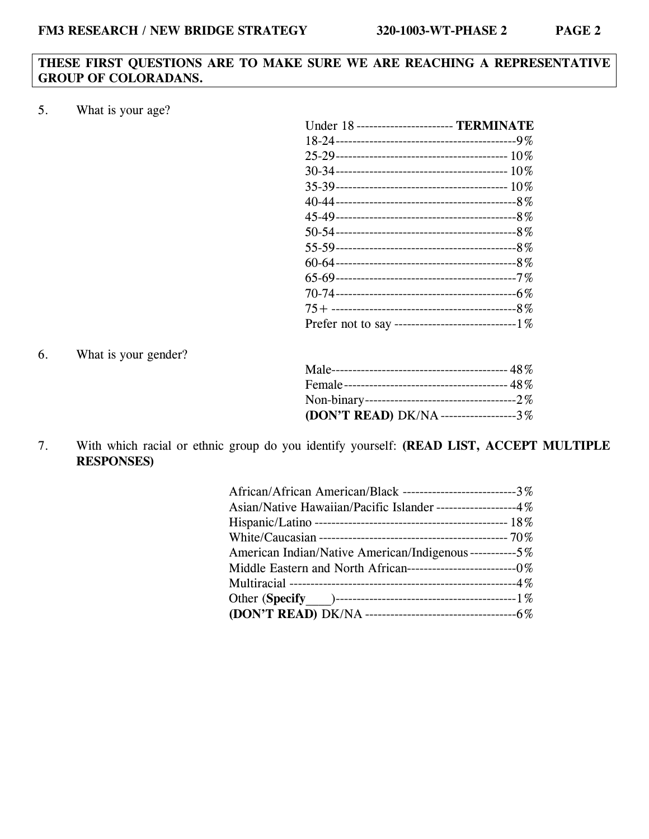### **THESE FIRST QUESTIONS ARE TO MAKE SURE WE ARE REACHING A REPRESENTATIVE GROUP OF COLORADANS.**

5. What is your age?

| Under 18 ----------------------- TERMINATE           |
|------------------------------------------------------|
|                                                      |
|                                                      |
|                                                      |
|                                                      |
|                                                      |
|                                                      |
|                                                      |
|                                                      |
|                                                      |
|                                                      |
|                                                      |
|                                                      |
| Prefer not to say --------------------------------1% |

6. What is your gender?

| (DON'T READ) DK/NA--------------------3% |  |
|------------------------------------------|--|

7. With which racial or ethnic group do you identify yourself: **(READ LIST, ACCEPT MULTIPLE RESPONSES)**

| African/African American/Black ---------------------------3% |
|--------------------------------------------------------------|
| Asian/Native Hawaiian/Pacific Islander ------------------4%  |
|                                                              |
|                                                              |
| American Indian/Native American/Indigenous-----------5%      |
|                                                              |
|                                                              |
|                                                              |
|                                                              |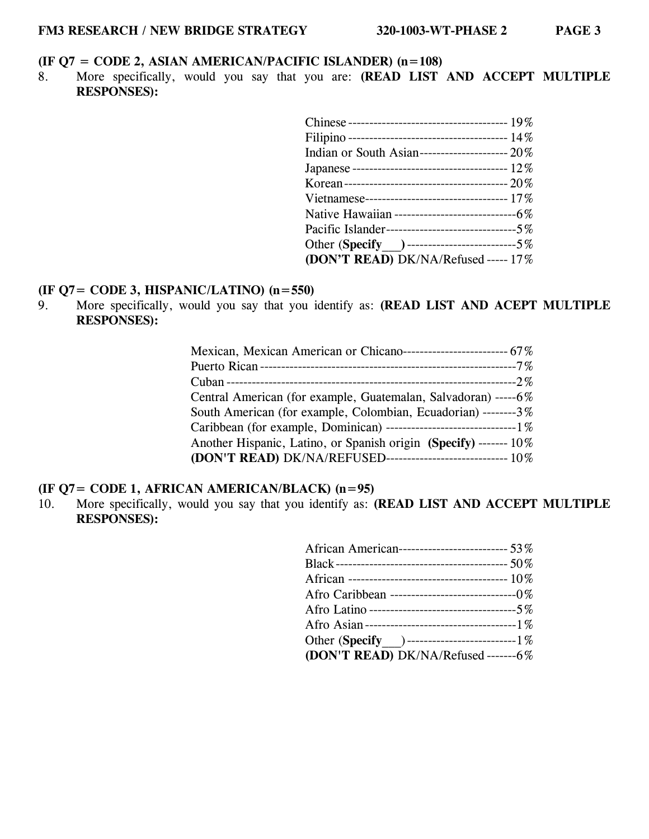## **(IF Q7 = CODE 2, ASIAN AMERICAN/PACIFIC ISLANDER) (n=108)**

8. More specifically, would you say that you are: **(READ LIST AND ACCEPT MULTIPLE RESPONSES):**

| Indian or South Asian---------------------- 20%     |
|-----------------------------------------------------|
|                                                     |
|                                                     |
|                                                     |
| Native Hawaiian -----------------------------6%     |
| Pacific Islander---------------------------------5% |
| Other (Specify ) ----------------------------5%     |
| (DON'T READ) DK/NA/Refused ----- 17%                |
|                                                     |

# **(IF Q7= CODE 3, HISPANIC/LATINO) (n=550)**

9. More specifically, would you say that you identify as: **(READ LIST AND ACEPT MULTIPLE RESPONSES):** 

| (DON'T READ) DK/NA/REFUSED----------------------------- 10%                                                                                                                                                                                                                 |
|-----------------------------------------------------------------------------------------------------------------------------------------------------------------------------------------------------------------------------------------------------------------------------|
| Mexican, Mexican American or Chicano-------------------------- 67%<br>Central American (for example, Guatemalan, Salvadoran) -----6%<br>South American (for example, Colombian, Ecuadorian) --------3%<br>Another Hispanic, Latino, or Spanish origin (Specify) ------- 10% |

# **(IF Q7= CODE 1, AFRICAN AMERICAN/BLACK) (n=95)**

10. More specifically, would you say that you identify as: **(READ LIST AND ACCEPT MULTIPLE RESPONSES):** 

| African American----------------------------- 53%  |
|----------------------------------------------------|
|                                                    |
|                                                    |
| Afro Caribbean ---------------------------------0% |
|                                                    |
|                                                    |
| Other (Specify )------------------------------1%   |
| (DON'T READ) DK/NA/Refused -------6%               |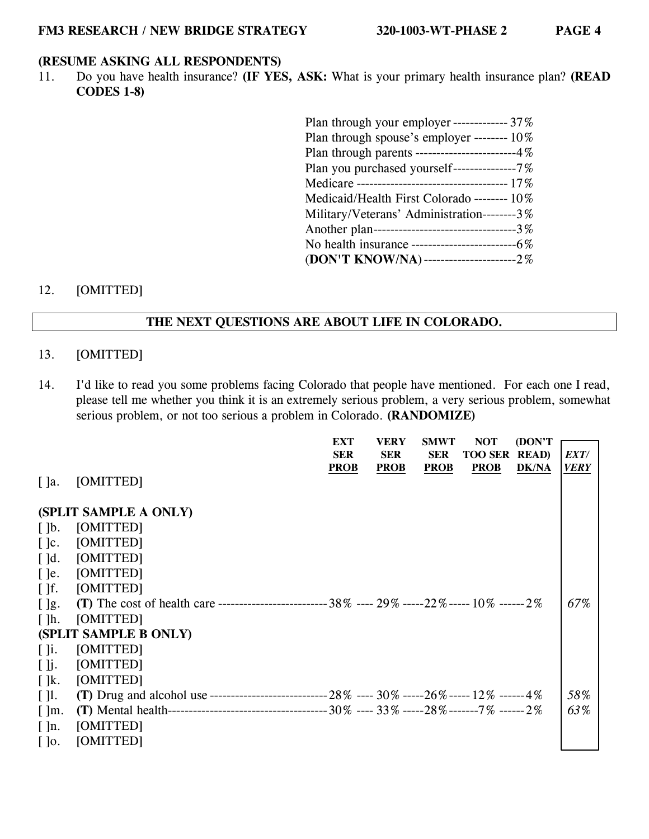# **(RESUME ASKING ALL RESPONDENTS)**

11. Do you have health insurance? **(IF YES, ASK:** What is your primary health insurance plan? **(READ CODES 1-8)** 

| Plan through your employer ------------- $37\%$  |
|--------------------------------------------------|
| Plan through spouse's employer -------- 10%      |
| Plan through parents -------------------------4% |
| Plan you purchased yourself---------------7%     |
|                                                  |
| Medicaid/Health First Colorado -------- 10%      |
| Military/Veterans' Administration--------3%      |
| Another plan--------------------------------3%   |
|                                                  |
| (DON'T KNOW/NA)-----------------------2%         |

### 12. [OMITTED]

### **THE NEXT QUESTIONS ARE ABOUT LIFE IN COLORADO.**

### 13. [OMITTED]

14. I'd like to read you some problems facing Colorado that people have mentioned. For each one I read, please tell me whether you think it is an extremely serious problem, a very serious problem, somewhat serious problem, or not too serious a problem in Colorado. **(RANDOMIZE)** 

|                          |                                                                                                        | <b>EXT</b>  | <b>VERY</b> | <b>SMWT</b> | <b>NOT</b>     | (DON'T)       |      |
|--------------------------|--------------------------------------------------------------------------------------------------------|-------------|-------------|-------------|----------------|---------------|------|
|                          |                                                                                                        | <b>SER</b>  | <b>SER</b>  | <b>SER</b>  | <b>TOO SER</b> | <b>READ</b> ) | EXT/ |
|                          |                                                                                                        |             |             |             |                |               |      |
|                          |                                                                                                        | <b>PROB</b> | <b>PROB</b> | <b>PROB</b> | <b>PROB</b>    | <b>DK/NA</b>  | VERY |
| $\lceil$ ]a.             | [OMITTED]                                                                                              |             |             |             |                |               |      |
|                          |                                                                                                        |             |             |             |                |               |      |
|                          | (SPLIT SAMPLE A ONLY)                                                                                  |             |             |             |                |               |      |
| $\lceil \cdot \rceil$    | [OMITTED]                                                                                              |             |             |             |                |               |      |
| $\lceil \cdot \rceil$ c. | [OMITTED]                                                                                              |             |             |             |                |               |      |
| $\lceil$ d.              | [OMITTED]                                                                                              |             |             |             |                |               |      |
| $\lceil$ ]e.             | [OMITTED]                                                                                              |             |             |             |                |               |      |
| $\lceil \cdot \rceil$    | [OMITTED]                                                                                              |             |             |             |                |               |      |
| $\lceil \cdot \rceil$ g. | (T) The cost of health care -------------------------------- 38% ---- 29% -----22% ----- 10% ------ 2% |             |             |             |                |               | 67%  |
| $\lceil \cdot \rceil$ h. | [OMITTED]                                                                                              |             |             |             |                |               |      |
|                          | (SPLIT SAMPLE B ONLY)                                                                                  |             |             |             |                |               |      |
| $\lceil \cdot \rceil$ i. | [OMITTED]                                                                                              |             |             |             |                |               |      |
| $\lceil \cdot \rceil$    | [OMITTED]                                                                                              |             |             |             |                |               |      |
| $\lceil \cdot \rceil$ k. | [OMITTED]                                                                                              |             |             |             |                |               |      |
| $\lceil \cdot \rceil$ l. |                                                                                                        |             |             |             |                |               | 58%  |
| $\lceil \cdot \rceil$ m. |                                                                                                        |             |             |             |                |               | 63%  |
| $\lceil \ln. \rceil$     | [OMITTED]                                                                                              |             |             |             |                |               |      |
| $\lceil \cdot \rceil$    | [OMITTED]                                                                                              |             |             |             |                |               |      |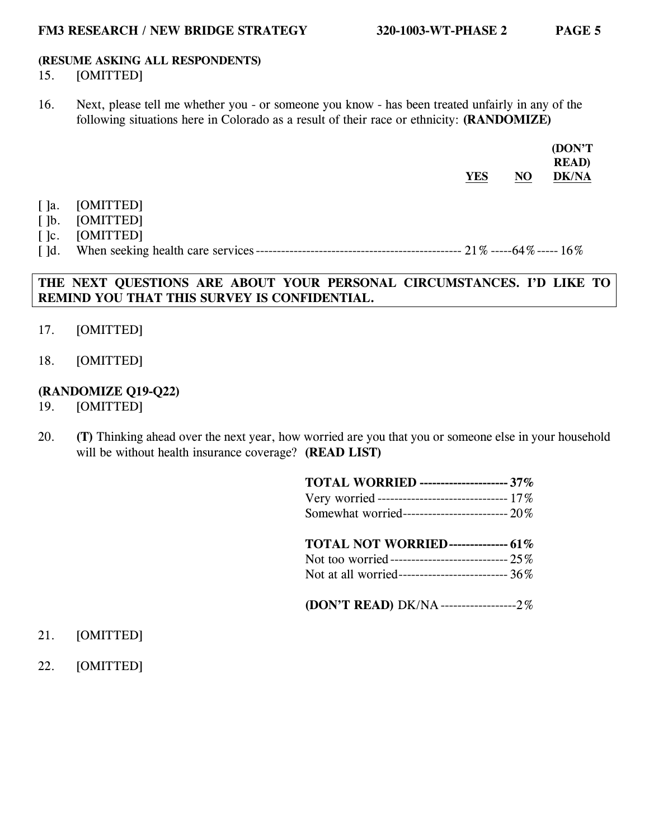## **(RESUME ASKING ALL RESPONDENTS)**

## 15. [OMITTED]

16. Next, please tell me whether you - or someone you know - has been treated unfairly in any of the following situations here in Colorado as a result of their race or ethnicity: **(RANDOMIZE)**

|                          |           | <b>YES</b> | N <sub>O</sub> | (DON'T<br><b>READ</b> )<br><b>DK/NA</b> |
|--------------------------|-----------|------------|----------------|-----------------------------------------|
| $\lceil$ ]a.             | [OMITTED] |            |                |                                         |
| $\lceil \cdot \rceil$    | [OMITTED] |            |                |                                         |
| $\lceil \cdot \rceil$ c. | [OMITTED] |            |                |                                         |
| $\lceil$ $\rceil$ d.     |           |            |                |                                         |

## **THE NEXT QUESTIONS ARE ABOUT YOUR PERSONAL CIRCUMSTANCES. I'D LIKE TO REMIND YOU THAT THIS SURVEY IS CONFIDENTIAL.**

- 17. [OMITTED]
- 18. [OMITTED]

## **(RANDOMIZE Q19-Q22)**

- 19. [OMITTED]
- 20. **(T)** Thinking ahead over the next year, how worried are you that you or someone else in your household will be without health insurance coverage? **(READ LIST)**

| <b>TOTAL WORRIED ------------------- 37%</b>     |  |
|--------------------------------------------------|--|
| Very worried ------------------------------ 17%  |  |
| Somewhat worried------------------------- 20%    |  |
|                                                  |  |
| <b>TOTAL NOT WORRIED------------- 61%</b>        |  |
| Not too worried----------------------------- 25% |  |

**(DON'T READ)** DK/NA ------------------ 2%

- 21. [OMITTED]
- 22. [OMITTED]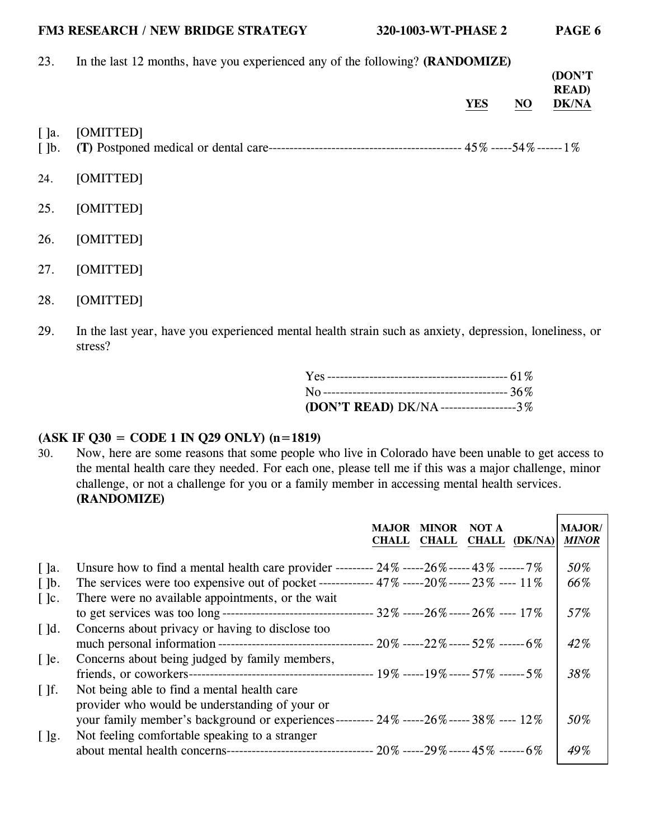#### **FM3 RESEARCH / NEW BRIDGE STRATEGY 320-1003-WT-PHASE 2 PAGE 6**

23. In the last 12 months, have you experienced any of the following? **(RANDOMIZE)**

| <b>YES</b>                                    |  |
|-----------------------------------------------|--|
| [OMITTED]<br>$[$ ]a.<br>$\lceil \cdot \rceil$ |  |
| [OMITTED]<br>24.                              |  |
| 25.<br>[OMITTED]                              |  |
| 26.<br>[OMITTED]                              |  |
| 27.<br>[OMITTED]                              |  |

- 28. [OMITTED]
- 29. In the last year, have you experienced mental health strain such as anxiety, depression, loneliness, or stress?

| (DON'T READ) DK/NA------------------3% |  |
|----------------------------------------|--|

# **(ASK IF Q30 = CODE 1 IN Q29 ONLY) (n=1819)**

30. Now, here are some reasons that some people who live in Colorado have been unable to get access to the mental health care they needed. For each one, please tell me if this was a major challenge, minor challenge, or not a challenge for you or a family member in accessing mental health services. **(RANDOMIZE)**

|                          |                                                                                                                                                                                                      | <b>MAJOR</b><br><b>CHALL</b> | <b>MINOR</b><br><b>CHALL</b> | <b>NOT A</b><br><b>CHALL</b> | (DK/NA) | <b>MAJOR</b> /<br><b>MINOR</b> |
|--------------------------|------------------------------------------------------------------------------------------------------------------------------------------------------------------------------------------------------|------------------------------|------------------------------|------------------------------|---------|--------------------------------|
| $\lceil$ ]a.             | Unsure how to find a mental health care provider --------- $24\%$ -----26% ----- $43\%$ ------ $7\%$                                                                                                 |                              |                              |                              |         | 50%                            |
| $\lceil \cdot \rceil$    | The services were too expensive out of pocket ------------- $47\%$ -----20% ----- $23\%$ ---- $11\%$                                                                                                 |                              |                              |                              |         | 66%                            |
| $\lceil \cdot \rceil$ c. | There were no available appointments, or the wait                                                                                                                                                    |                              |                              |                              |         | 57%                            |
| $\lceil$ $\lceil$ d.     | Concerns about privacy or having to disclose too                                                                                                                                                     |                              |                              |                              |         | 42%                            |
| $\lceil$ ]e.             | Concerns about being judged by family members,                                                                                                                                                       |                              |                              |                              |         | 38%                            |
| $\lceil \cdot \rceil$    | Not being able to find a mental health care.                                                                                                                                                         |                              |                              |                              |         |                                |
| $[$ $]$ g.               | provider who would be understanding of your or<br>your family member's background or experiences--------- $24\%$ -----26% ----- $38\%$ ---- $12\%$<br>Not feeling comfortable speaking to a stranger |                              |                              |                              |         | 50%                            |
|                          |                                                                                                                                                                                                      |                              |                              |                              |         | 49%                            |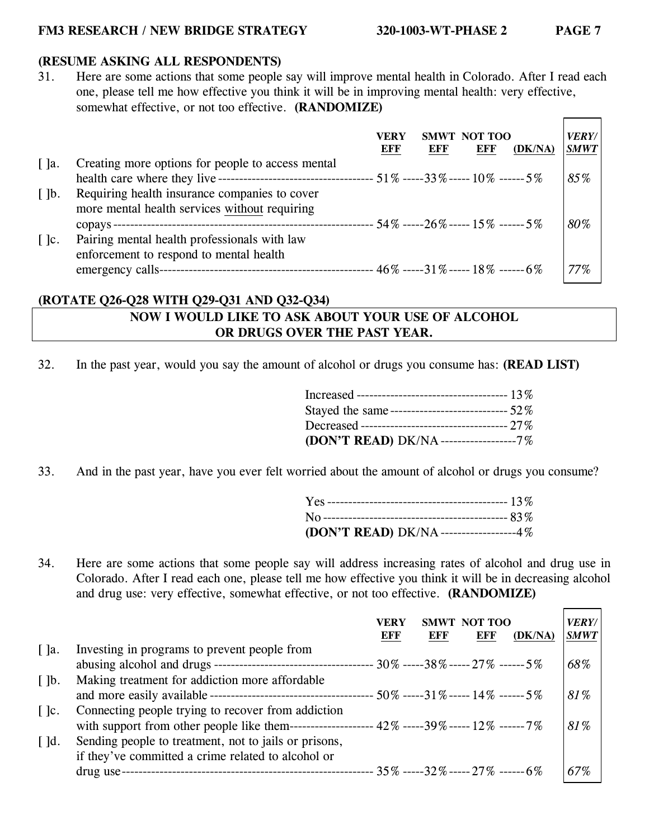#### **FM3 RESEARCH / NEW BRIDGE STRATEGY 320-1003-WT-PHASE 2 PAGE 7**

# **(RESUME ASKING ALL RESPONDENTS)**

31. Here are some actions that some people say will improve mental health in Colorado. After I read each one, please tell me how effective you think it will be in improving mental health: very effective, somewhat effective, or not too effective. **(RANDOMIZE)**  $\blacksquare$  $\overline{\phantom{0}}$ 

|                          |                                                                                             | VERY<br>EFF | <b>SMWT</b><br>EFF | NOT TOO<br><b>EFF</b>                | (DK/NA) | <b>VERY/</b><br><b>SMWT</b> |
|--------------------------|---------------------------------------------------------------------------------------------|-------------|--------------------|--------------------------------------|---------|-----------------------------|
| $\lceil$ $\rceil$ a.     | Creating more options for people to access mental                                           |             |                    |                                      |         |                             |
|                          |                                                                                             |             |                    |                                      |         | 85%                         |
| $\lceil \cdot \rceil$    | Requiring health insurance companies to cover                                               |             |                    |                                      |         |                             |
|                          | more mental health services without requiring                                               |             |                    |                                      |         |                             |
|                          | ------------------ 54% -----26% ----- 15% ------ 5%<br>copays------------------------------ |             |                    |                                      |         | 80%                         |
| $\lceil \cdot \rceil$ c. | Pairing mental health professionals with law                                                |             |                    |                                      |         |                             |
|                          | enforcement to respond to mental health                                                     |             |                    |                                      |         |                             |
|                          | emergency calls-                                                                            |             |                    | $-46\%$ -----31% ----- 18% ------ 6% |         | 77%                         |

### **(ROTATE Q26-Q28 WITH Q29-Q31 AND Q32-Q34)**

### **NOW I WOULD LIKE TO ASK ABOUT YOUR USE OF ALCOHOL OR DRUGS OVER THE PAST YEAR.**

32. In the past year, would you say the amount of alcohol or drugs you consume has: **(READ LIST)**

| Stayed the same------------------------------- 52% |  |
|----------------------------------------------------|--|
| Decreased ----------------------------------- 27%  |  |
| (DON'T READ) DK/NA------------------7%             |  |

33. And in the past year, have you ever felt worried about the amount of alcohol or drugs you consume?

| (DON'T READ) DK/NA-----------------4% |  |
|---------------------------------------|--|

34. Here are some actions that some people say will address increasing rates of alcohol and drug use in Colorado. After I read each one, please tell me how effective you think it will be in decreasing alcohol and drug use: very effective, somewhat effective, or not too effective. **(RANDOMIZE)** 

|                          |                                                                                                   | VERY<br>EFF | <b>SMWT</b><br>EFF | NOT TOO<br><b>EFF</b> | (DK/NA) | <b>VERY/</b><br><b>SMWT</b> |
|--------------------------|---------------------------------------------------------------------------------------------------|-------------|--------------------|-----------------------|---------|-----------------------------|
| $\lceil$ ]a.             | Investing in programs to prevent people from                                                      |             |                    |                       |         |                             |
|                          |                                                                                                   |             |                    |                       |         | 68%                         |
| $\lceil \cdot \rceil$    | Making treatment for addiction more affordable                                                    |             |                    |                       |         |                             |
|                          |                                                                                                   |             |                    |                       |         | 81%                         |
| $\lceil \cdot \rceil$ c. | Connecting people trying to recover from addiction                                                |             |                    |                       |         |                             |
|                          | with support from other people like them------------------- $42\%$ -----39% ----- $12\%$ ------7% |             |                    |                       |         | 81%                         |
| $\lceil$ d.              | Sending people to treatment, not to jails or prisons,                                             |             |                    |                       |         |                             |
|                          | if they've committed a crime related to alcohol or                                                |             |                    |                       |         |                             |
|                          | drug use-                                                                                         |             |                    |                       |         | 67%                         |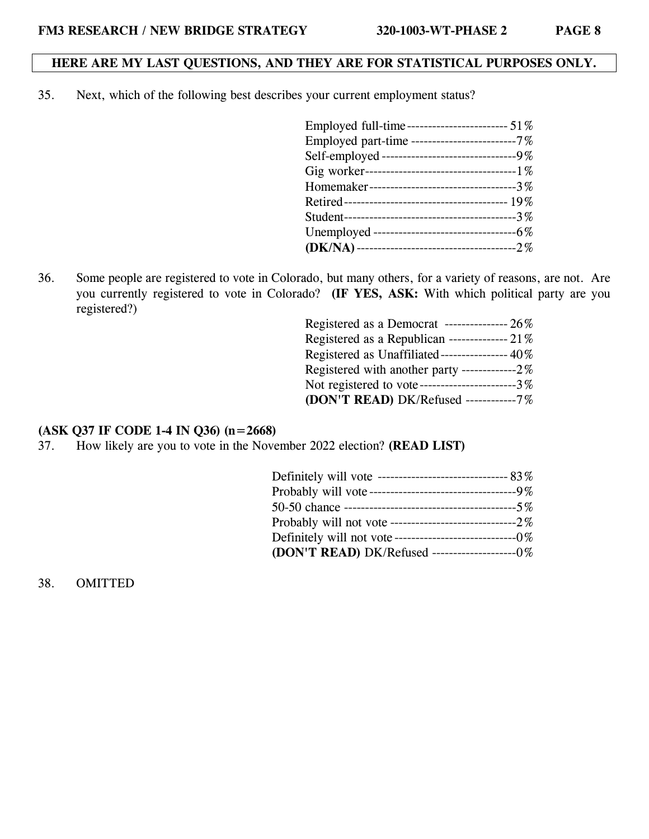### **HERE ARE MY LAST QUESTIONS, AND THEY ARE FOR STATISTICAL PURPOSES ONLY.**

35. Next, which of the following best describes your current employment status?

36. Some people are registered to vote in Colorado, but many others, for a variety of reasons, are not. Are you currently registered to vote in Colorado? **(IF YES, ASK:** With which political party are you registered?)

| Registered as a Democrat ---------------- $26\%$ |  |
|--------------------------------------------------|--|
| Registered as a Republican -------------- $21\%$ |  |
| Registered as Unaffiliated---------------- 40%   |  |
| Registered with another party -------------2%    |  |
| Not registered to vote-----------------------3%  |  |
| (DON'T READ) DK/Refused -----------7%            |  |

#### **(ASK Q37 IF CODE 1-4 IN Q36) (n=2668)**

37. How likely are you to vote in the November 2022 election? **(READ LIST)**

| Probably will vote-----------------------------------9% |  |
|---------------------------------------------------------|--|
|                                                         |  |
|                                                         |  |
| Definitely will not vote----------------------------0%  |  |
| (DON'T READ) DK/Refused -----------------------0%       |  |

38. OMITTED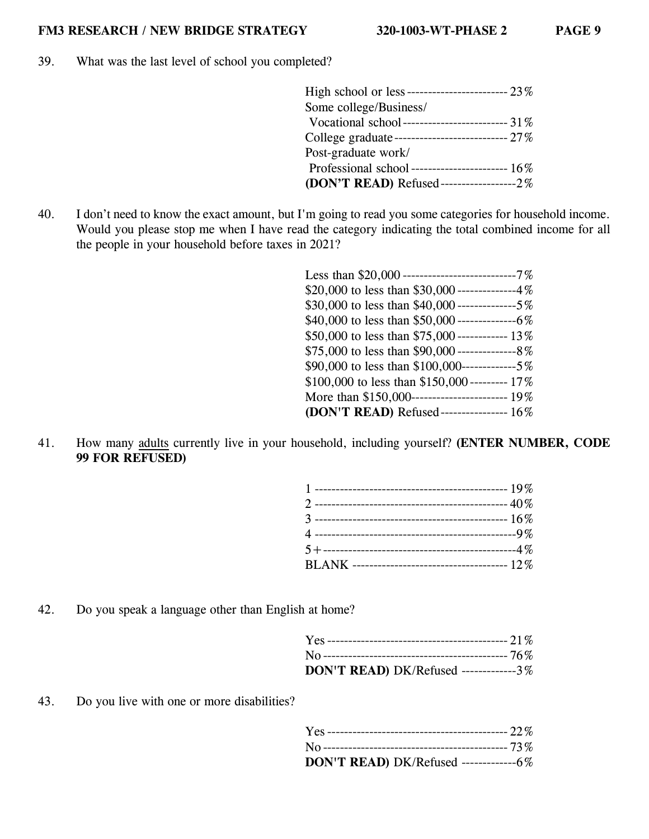39. What was the last level of school you completed?

| High school or less------------------------- 23% |
|--------------------------------------------------|
| Some college/Business/                           |
| Vocational school -------------------------- 31% |
|                                                  |
| Post-graduate work/                              |
|                                                  |
| (DON'T READ) Refused-------------------2%        |

40. I don't need to know the exact amount, but I'm going to read you some categories for household income. Would you please stop me when I have read the category indicating the total combined income for all the people in your household before taxes in 2021?

| Less than $$20,000$ ---------------------------7%   |
|-----------------------------------------------------|
| \$20,000 to less than \$30,000 --------------4%     |
|                                                     |
|                                                     |
| \$50,000 to less than \$75,000 ------------- 13%    |
|                                                     |
| \$90,000 to less than \$100,000------------------5% |
| \$100,000 to less than \$150,000 --------- 17%      |
|                                                     |
| (DON'T READ) Refused---------------- 16%            |

41. How many adults currently live in your household, including yourself? **(ENTER NUMBER, CODE 99 FOR REFUSED)**

42. Do you speak a language other than English at home?

| DON'T READ) DK/Refused -------------3% |  |
|----------------------------------------|--|

43. Do you live with one or more disabilities?

| DON'T READ) DK/Refused ----------------6% |  |
|-------------------------------------------|--|